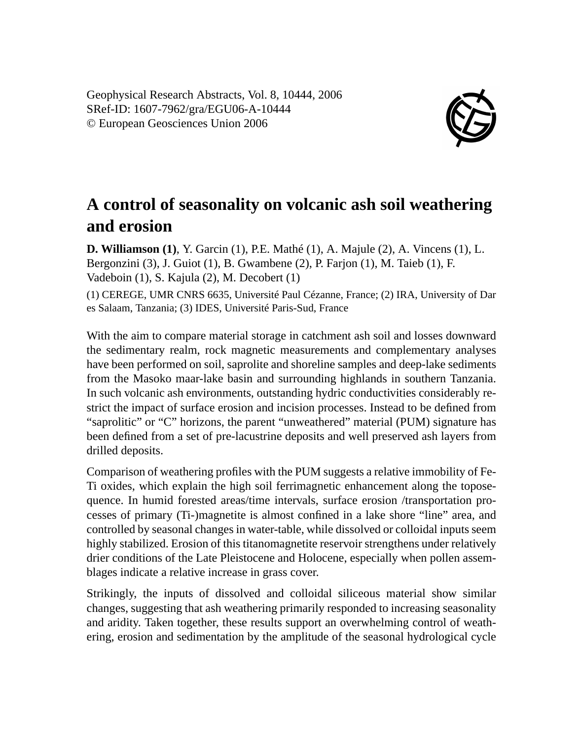Geophysical Research Abstracts, Vol. 8, 10444, 2006 SRef-ID: 1607-7962/gra/EGU06-A-10444 © European Geosciences Union 2006



## **A control of seasonality on volcanic ash soil weathering and erosion**

**D. Williamson (1)**, Y. Garcin (1), P.E. Mathé (1), A. Majule (2), A. Vincens (1), L. Bergonzini (3), J. Guiot (1), B. Gwambene (2), P. Farjon (1), M. Taieb (1), F. Vadeboin (1), S. Kajula (2), M. Decobert (1) (1) CEREGE, UMR CNRS 6635, Université Paul Cézanne, France; (2) IRA, University of Dar es Salaam, Tanzania; (3) IDES, Université Paris-Sud, France

With the aim to compare material storage in catchment ash soil and losses downward the sedimentary realm, rock magnetic measurements and complementary analyses have been performed on soil, saprolite and shoreline samples and deep-lake sediments from the Masoko maar-lake basin and surrounding highlands in southern Tanzania. In such volcanic ash environments, outstanding hydric conductivities considerably restrict the impact of surface erosion and incision processes. Instead to be defined from "saprolitic" or "C" horizons, the parent "unweathered" material (PUM) signature has been defined from a set of pre-lacustrine deposits and well preserved ash layers from drilled deposits.

Comparison of weathering profiles with the PUM suggests a relative immobility of Fe-Ti oxides, which explain the high soil ferrimagnetic enhancement along the toposequence. In humid forested areas/time intervals, surface erosion /transportation processes of primary (Ti-)magnetite is almost confined in a lake shore "line" area, and controlled by seasonal changes in water-table, while dissolved or colloidal inputs seem highly stabilized. Erosion of this titanomagnetite reservoir strengthens under relatively drier conditions of the Late Pleistocene and Holocene, especially when pollen assemblages indicate a relative increase in grass cover.

Strikingly, the inputs of dissolved and colloidal siliceous material show similar changes, suggesting that ash weathering primarily responded to increasing seasonality and aridity. Taken together, these results support an overwhelming control of weathering, erosion and sedimentation by the amplitude of the seasonal hydrological cycle